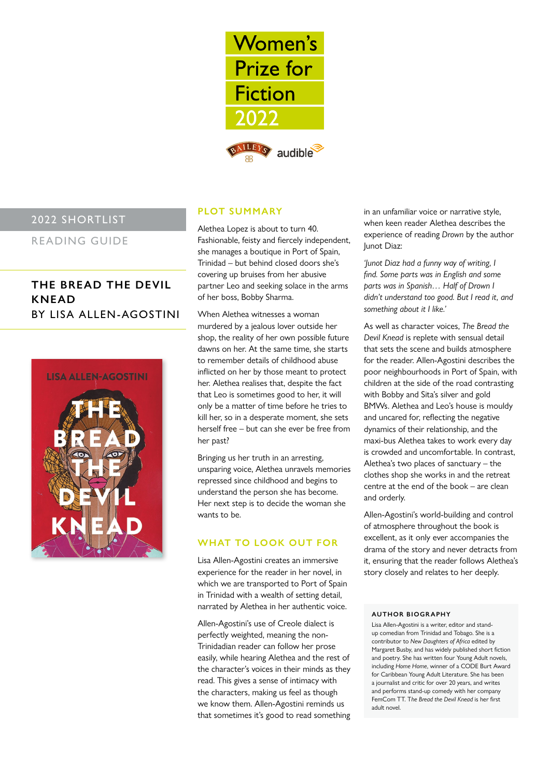

# 2022 SHORTLIST

READING GUIDE

# **THE BREAD THE DEVIL KNEAD** BY LISA ALLEN-AGOSTINI



# **PLOT SUMMARY**

Alethea Lopez is about to turn 40. Fashionable, feisty and fiercely independent, she manages a boutique in Port of Spain, Trinidad – but behind closed doors she's covering up bruises from her abusive partner Leo and seeking solace in the arms of her boss, Bobby Sharma.

When Alethea witnesses a woman murdered by a jealous lover outside her shop, the reality of her own possible future dawns on her. At the same time, she starts to remember details of childhood abuse inflicted on her by those meant to protect her. Alethea realises that, despite the fact that Leo is sometimes good to her, it will only be a matter of time before he tries to kill her, so in a desperate moment, she sets herself free – but can she ever be free from her past?

Bringing us her truth in an arresting, unsparing voice, Alethea unravels memories repressed since childhood and begins to understand the person she has become. Her next step is to decide the woman she wants to be.

# **WHAT TO LOOK OUT FOR**

Lisa Allen-Agostini creates an immersive experience for the reader in her novel, in which we are transported to Port of Spain in Trinidad with a wealth of setting detail, narrated by Alethea in her authentic voice.

Allen-Agostini's use of Creole dialect is perfectly weighted, meaning the non-Trinidadian reader can follow her prose easily, while hearing Alethea and the rest of the character's voices in their minds as they read. This gives a sense of intimacy with the characters, making us feel as though we know them. Allen-Agostini reminds us that sometimes it's good to read something

in an unfamiliar voice or narrative style, when keen reader Alethea describes the experience of reading *Drown* by the author Junot Diaz:

*'Junot Diaz had a funny way of writing, I find. Some parts was in English and some parts was in Spanish… Half of Drown I didn't understand too good. But I read it, and something about it I like.'* 

As well as character voices, *The Bread the Devil Knead* is replete with sensual detail that sets the scene and builds atmosphere for the reader. Allen-Agostini describes the poor neighbourhoods in Port of Spain, with children at the side of the road contrasting with Bobby and Sita's silver and gold BMWs. Alethea and Leo's house is mouldy and uncared for, reflecting the negative dynamics of their relationship, and the maxi-bus Alethea takes to work every day is crowded and uncomfortable. In contrast, Alethea's two places of sanctuary – the clothes shop she works in and the retreat centre at the end of the book – are clean and orderly.

Allen-Agostini's world-building and control of atmosphere throughout the book is excellent, as it only ever accompanies the drama of the story and never detracts from it, ensuring that the reader follows Alethea's story closely and relates to her deeply.

#### **AUTHOR BIOGR APHY**

Lisa Allen-Agostini is a writer, editor and standup comedian from Trinidad and Tobago. She is a contributor to *New Daughters of Africa* edited by Margaret Busby, and has widely published short fiction and poetry. She has written four Young Adult novels, including *Home Home*, winner of a CODE Burt Award for Caribbean Young Adult Literature. She has been a journalist and critic for over 20 years, and writes and performs stand-up comedy with her company FemCom TT. T*he Bread the Devil Knead* is her first adult novel.